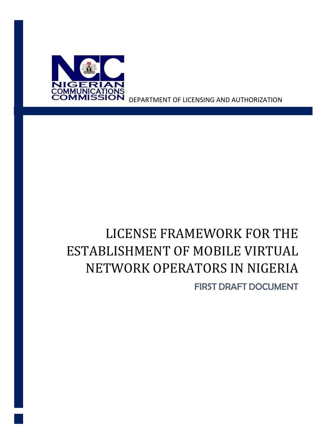

DEPARTMENT OF LICENSING AND AUTHORIZATION

# LICENSE FRAMEWORK FOR THE ESTABLISHMENT OF MOBILE VIRTUAL NETWORK OPERATORS IN NIGERIA

FIRST DRAFT DOCUMENT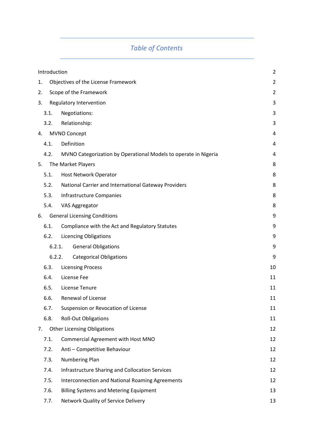## *Table of Contents*

|    | $\overline{2}$<br>Introduction           |                                                                 |    |
|----|------------------------------------------|-----------------------------------------------------------------|----|
| 1. | Objectives of the License Framework      |                                                                 |    |
| 2. | Scope of the Framework<br>$\overline{2}$ |                                                                 |    |
| 3. |                                          | Regulatory Intervention                                         | 3  |
|    | 3.1.                                     | Negotiations:                                                   | 3  |
|    | 3.2.                                     | Relationship:                                                   | 3  |
| 4. |                                          | <b>MVNO Concept</b>                                             | 4  |
|    | 4.1.                                     | Definition                                                      | 4  |
|    | 4.2.                                     | MVNO Categorization by Operational Models to operate in Nigeria | 4  |
| 5. |                                          | The Market Players                                              | 8  |
|    | 5.1.                                     | Host Network Operator                                           | 8  |
|    | 5.2.                                     | National Carrier and International Gateway Providers            | 8  |
|    | 5.3.                                     | <b>Infrastructure Companies</b>                                 | 8  |
|    | 5.4.                                     | VAS Aggregator                                                  | 8  |
| 6. |                                          | <b>General Licensing Conditions</b>                             | 9  |
|    | 6.1.                                     | Compliance with the Act and Regulatory Statutes                 | 9  |
|    | 6.2.                                     | <b>Licencing Obligations</b>                                    | 9  |
|    | 6.2.1.                                   | <b>General Obligations</b>                                      | 9  |
|    | 6.2.2.                                   | <b>Categorical Obligations</b>                                  | 9  |
|    | 6.3.                                     | <b>Licensing Process</b>                                        | 10 |
|    | 6.4.                                     | License Fee                                                     | 11 |
|    | 6.5.                                     | License Tenure                                                  | 11 |
|    | 6.6.                                     | Renewal of License                                              | 11 |
|    | 6.7.                                     | Suspension or Revocation of License                             | 11 |
|    | 6.8.                                     | <b>Roll-Out Obligations</b>                                     | 11 |
| 7. |                                          | <b>Other Licensing Obligations</b>                              | 12 |
|    | 7.1.                                     | Commercial Agreement with Host MNO                              | 12 |
|    | 7.2.                                     | Anti - Competitive Behaviour                                    | 12 |
|    | 7.3.                                     | Numbering Plan                                                  | 12 |
|    | 7.4.                                     | <b>Infrastructure Sharing and Collocation Services</b>          | 12 |
|    | 7.5.                                     | <b>Interconnection and National Roaming Agreements</b>          | 12 |
|    | 7.6.                                     | <b>Billing Systems and Metering Equipment</b>                   | 13 |
|    | 7.7.                                     | Network Quality of Service Delivery                             | 13 |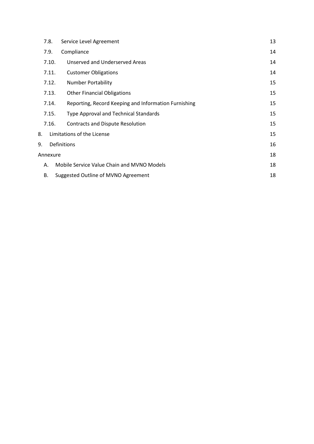| 7.8.                                                          | Service Level Agreement                      |    |
|---------------------------------------------------------------|----------------------------------------------|----|
| 7.9.                                                          | Compliance                                   | 14 |
| 7.10.                                                         | Unserved and Underserved Areas               | 14 |
| 7.11.                                                         | <b>Customer Obligations</b>                  | 14 |
| 7.12.                                                         | <b>Number Portability</b>                    | 15 |
| 7.13.                                                         | <b>Other Financial Obligations</b>           | 15 |
| Reporting, Record Keeping and Information Furnishing<br>7.14. |                                              | 15 |
| 7.15.                                                         | <b>Type Approval and Technical Standards</b> | 15 |
| 7.16.                                                         | Contracts and Dispute Resolution             | 15 |
| Limitations of the License<br>8.                              |                                              | 15 |
| Definitions<br>9.                                             |                                              | 16 |
| Annexure                                                      |                                              | 18 |
| Mobile Service Value Chain and MVNO Models<br>А.              |                                              | 18 |
| <b>B.</b>                                                     | Suggested Outline of MVNO Agreement          | 18 |
|                                                               |                                              |    |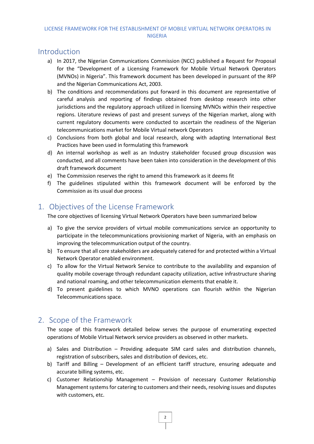### <span id="page-4-0"></span>**Introduction**

- a) In 2017, the Nigerian Communications Commission (NCC) published a Request for Proposal for the "Development of a Licensing Framework for Mobile Virtual Network Operators (MVNOs) in Nigeria". This framework document has been developed in pursuant of the RFP and the Nigerian Communications Act, 2003.
- b) The conditions and recommendations put forward in this document are representative of careful analysis and reporting of findings obtained from desktop research into other jurisdictions and the regulatory approach utilized in licensing MVNOs within their respective regions. Literature reviews of past and present surveys of the Nigerian market, along with current regulatory documents were conducted to ascertain the readiness of the Nigerian telecommunications market for Mobile Virtual network Operators
- c) Conclusions from both global and local research, along with adapting International Best Practices have been used in formulating this framework
- d) An internal workshop as well as an Industry stakeholder focused group discussion was conducted, and all comments have been taken into consideration in the development of this draft framework document
- e) The Commission reserves the right to amend this framework as it deems fit
- f) The guidelines stipulated within this framework document will be enforced by the Commission as its usual due process

## <span id="page-4-1"></span>1. Objectives of the License Framework

The core objectives of licensing Virtual Network Operators have been summarized below

- a) To give the service providers of virtual mobile communications service an opportunity to participate in the telecommunications provisioning market of Nigeria, with an emphasis on improving the telecommunication output of the country.
- b) To ensure that all core stakeholders are adequately catered for and protected within a Virtual Network Operator enabled environment.
- c) To allow for the Virtual Network Service to contribute to the availability and expansion of quality mobile coverage through redundant capacity utilization, active infrastructure sharing and national roaming, and other telecommunication elements that enable it.
- d) To present guidelines to which MVNO operations can flourish within the Nigerian Telecommunications space.

## <span id="page-4-2"></span>2. Scope of the Framework

The scope of this framework detailed below serves the purpose of enumerating expected operations of Mobile Virtual Network service providers as observed in other markets.

- a) Sales and Distribution Providing adequate SIM card sales and distribution channels, registration of subscribers, sales and distribution of devices, etc.
- b) Tariff and Billing Development of an efficient tariff structure, ensuring adequate and accurate billing systems, etc.
- c) Customer Relationship Management Provision of necessary Customer Relationship Management systems for catering to customers and their needs, resolving issues and disputes with customers, etc.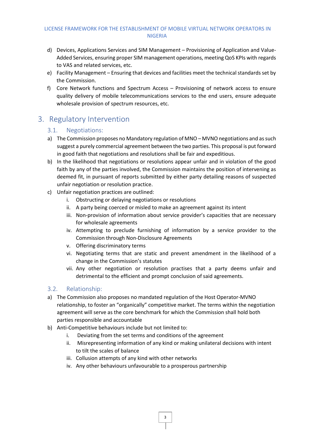- d) Devices, Applications Services and SIM Management Provisioning of Application and Value-Added Services, ensuring proper SIM management operations, meeting QoS KPIs with regards to VAS and related services, etc.
- e) Facility Management Ensuring that devices and facilities meet the technical standards set by the Commission.
- f) Core Network functions and Spectrum Access Provisioning of network access to ensure quality delivery of mobile telecommunications services to the end users, ensure adequate wholesale provision of spectrum resources, etc.

## <span id="page-5-1"></span><span id="page-5-0"></span>3. Regulatory Intervention

#### 3.1. Negotiations:

- a) The Commission proposes no Mandatory regulation of MNO MVNO negotiations and as such suggest a purely commercial agreement between the two parties. This proposal is put forward in good faith that negotiations and resolutions shall be fair and expeditious.
- b) In the likelihood that negotiations or resolutions appear unfair and in violation of the good faith by any of the parties involved, the Commission maintains the position of intervening as deemed fit, in pursuant of reports submitted by either party detailing reasons of suspected unfair negotiation or resolution practice.
- c) Unfair negotiation practices are outlined:
	- i. Obstructing or delaying negotiations or resolutions
	- ii. A party being coerced or misled to make an agreement against its intent
	- iii. Non-provision of information about service provider's capacities that are necessary for wholesale agreements
	- iv. Attempting to preclude furnishing of information by a service provider to the Commission through Non-Disclosure Agreements
	- v. Offering discriminatory terms
	- vi. Negotiating terms that are static and prevent amendment in the likelihood of a change in the Commission's statutes
	- vii. Any other negotiation or resolution practises that a party deems unfair and detrimental to the efficient and prompt conclusion of said agreements.

#### <span id="page-5-2"></span>3.2. Relationship:

- a) The Commission also proposes no mandated regulation of the Host Operator-MVNO relationship, to foster an "organically" competitive market. The terms within the negotiation agreement will serve as the core benchmark for which the Commission shall hold both parties responsible and accountable
- b) Anti-Competitive behaviours include but not limited to:
	- i. Deviating from the set terms and conditions of the agreement
	- ii. Misrepresenting information of any kind or making unilateral decisions with intent to tilt the scales of balance
	- iii. Collusion attempts of any kind with other networks
	- iv. Any other behaviours unfavourable to a prosperous partnership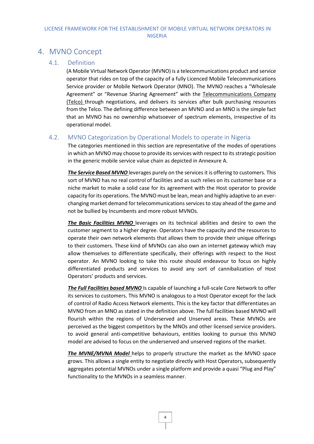## <span id="page-6-1"></span><span id="page-6-0"></span>4. MVNO Concept

#### 4.1. Definition

(A Mobile Virtual Network Operator (MVNO) is a telecommunications product and service operator that rides on top of the capacity of a fully Licenced Mobile Telecommunications Service provider or Mobile Network Operator (MNO). The MVNO reaches a "Wholesale Agreement" or "Revenue Sharing Agreement" with the Telecommunications Company (Telco) through negotiations, and delivers its services after bulk purchasing resources from the Telco. The defining difference between an MVNO and an MNO is the simple fact that an MVNO has no ownership whatsoever of spectrum elements, irrespective of its operational model.

#### <span id="page-6-2"></span>4.2. MVNO Categorization by Operational Models to operate in Nigeria

The categories mentioned in this section are representative of the modes of operations in which an MVNO may choose to provide its services with respect to its strategic position in the generic mobile service value chain as depicted in Annexure A.

**The Service Based MVNO** leverages purely on the services it is offering to customers. This sort of MVNO has no real control of facilities and as such relies on its customer base or a niche market to make a solid case for its agreement with the Host operator to provide capacity for its operations. The MVNO must be lean, mean and highly adaptive to an everchanging market demand for telecommunications services to stay ahead of the game and not be bullied by Incumbents and more robust MVNOs.

*The Basic Facilities MVNO* leverages on its technical abilities and desire to own the customer segment to a higher degree. Operators have the capacity and the resources to operate their own network elements that allows them to provide their unique offerings to their customers. These kind of MVNOs can also own an internet gateway which may allow themselves to differentiate specifically, their offerings with respect to the Host operator. An MVNO looking to take this route should endeavour to focus on highly differentiated products and services to avoid any sort of cannibalization of Host Operators' products and services.

*The Full Facilities based MVNO* Is capable of launching a full-scale Core Network to offer its services to customers. This MVNO is analogous to a Host Operator except for the lack of control of Radio Access Network elements. This is the key factor that differentiates an MVNO from an MNO as stated in the definition above. The full facilities based MVNO will flourish within the regions of Underserved and Unserved areas. These MVNOs are perceived as the biggest competitors by the MNOs and other licensed service providers. to avoid general anti-competitive behaviours, entities looking to pursue this MVNO model are advised to focus on the underserved and unserved regions of the market.

*The MVNE/MVNA Model* helps to properly structure the market as the MVNO space grows. This allows a single entity to negotiate directly with Host Operators, subsequently aggregates potential MVNOs under a single platform and provide a quasi "Plug and Play" functionality to the MVNOs in a seamless manner.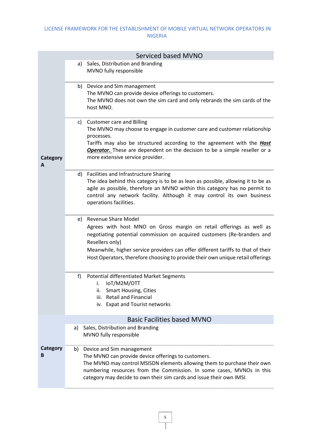|                                                                                                                                                                                                                                                                                                                                                                    | <b>Serviced based MVNO</b>                                                                                                                                                                                                                                                                                          |  |
|--------------------------------------------------------------------------------------------------------------------------------------------------------------------------------------------------------------------------------------------------------------------------------------------------------------------------------------------------------------------|---------------------------------------------------------------------------------------------------------------------------------------------------------------------------------------------------------------------------------------------------------------------------------------------------------------------|--|
|                                                                                                                                                                                                                                                                                                                                                                    | Sales, Distribution and Branding<br>a)<br>MVNO fully responsible                                                                                                                                                                                                                                                    |  |
|                                                                                                                                                                                                                                                                                                                                                                    | b) Device and Sim management<br>The MVNO can provide device offerings to customers.<br>The MVNO does not own the sim card and only rebrands the sim cards of the<br>host MNO.                                                                                                                                       |  |
| c) Customer care and Billing<br>The MVNO may choose to engage in customer care and customer relationship<br>processes.<br>Tariffs may also be structured according to the agreement with the <b>Host</b><br><b>Operator.</b> These are dependent on the decision to be a simple reseller or a<br>more extensive service provider.<br>Category<br>A                 |                                                                                                                                                                                                                                                                                                                     |  |
|                                                                                                                                                                                                                                                                                                                                                                    | d) Facilities and Infrastructure Sharing                                                                                                                                                                                                                                                                            |  |
| The idea behind this category is to be as lean as possible, allowing it to be as<br>agile as possible, therefore an MVNO within this category has no permit to<br>control any network facility. Although it may control its own business<br>operations facilities.                                                                                                 |                                                                                                                                                                                                                                                                                                                     |  |
| e) Revenue Share Model<br>Agrees with host MNO on Gross margin on retail offerings as well as<br>negotiating potential commission on acquired customers (Re-branders and<br>Resellers only)<br>Meanwhile, higher service providers can offer different tariffs to that of their<br>Host Operators, therefore choosing to provide their own unique retail offerings |                                                                                                                                                                                                                                                                                                                     |  |
|                                                                                                                                                                                                                                                                                                                                                                    | f)<br><b>Potential differentiated Market Segments</b><br>IoT/M2M/OTT<br>i.<br><b>Smart Housing, Cities</b><br>ii.<br><b>Retail and Financial</b><br>iii.<br>iv. Expat and Tourist networks                                                                                                                          |  |
|                                                                                                                                                                                                                                                                                                                                                                    | <b>Basic Facilities based MVNO</b>                                                                                                                                                                                                                                                                                  |  |
|                                                                                                                                                                                                                                                                                                                                                                    | Sales, Distribution and Branding<br>a)<br>MVNO fully responsible                                                                                                                                                                                                                                                    |  |
| Category<br>в                                                                                                                                                                                                                                                                                                                                                      | Device and Sim management<br>b)<br>The MVNO can provide device offerings to customers.<br>The MVNO may control MSISDN elements allowing them to purchase their own<br>numbering resources from the Commission. In some cases, MVNOs in this<br>category may decide to own their sim cards and issue their own IMSI. |  |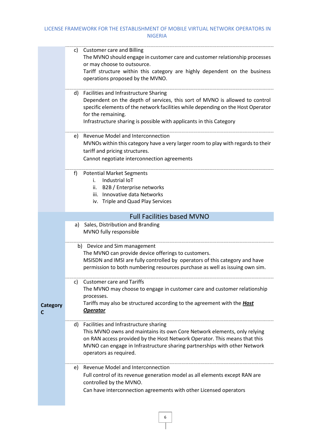|                      | c) Customer care and Billing<br>The MVNO should engage in customer care and customer relationship processes<br>or may choose to outsource.<br>Tariff structure within this category are highly dependent on the business<br>operations proposed by the MVNO.                                             |
|----------------------|----------------------------------------------------------------------------------------------------------------------------------------------------------------------------------------------------------------------------------------------------------------------------------------------------------|
|                      | d) Facilities and Infrastructure Sharing<br>Dependent on the depth of services, this sort of MVNO is allowed to control<br>specific elements of the network facilities while depending on the Host Operator<br>for the remaining.<br>Infrastructure sharing is possible with applicants in this Category |
|                      | e) Revenue Model and Interconnection<br>MVNOs within this category have a very larger room to play with regards to their<br>tariff and pricing structures.<br>Cannot negotiate interconnection agreements                                                                                                |
|                      | f<br><b>Potential Market Segments</b><br>Industrial IoT<br>i.<br>ii. B2B / Enterprise networks<br>iii. Innovative data Networks<br>iv. Triple and Quad Play Services                                                                                                                                     |
|                      | <b>Full Facilities based MVNO</b>                                                                                                                                                                                                                                                                        |
|                      | Sales, Distribution and Branding<br>a)<br>MVNO fully responsible                                                                                                                                                                                                                                         |
|                      | b) Device and Sim management<br>The MVNO can provide device offerings to customers.<br>MSISDN and IMSI are fully controlled by operators of this category and have<br>permission to both numbering resources purchase as well as issuing own sim.                                                        |
| <b>Category</b><br>С | <b>Customer care and Tariffs</b><br>c)<br>The MVNO may choose to engage in customer care and customer relationship<br>processes.<br>Tariffs may also be structured according to the agreement with the <b>Host</b><br><b>Operator</b>                                                                    |
|                      | d) Facilities and Infrastructure sharing<br>This MVNO owns and maintains its own Core Network elements, only relying<br>on RAN access provided by the Host Network Operator. This means that this<br>MVNO can engage in Infrastructure sharing partnerships with other Network<br>operators as required. |
|                      | Revenue Model and Interconnection<br>e)<br>Full control of its revenue generation model as all elements except RAN are<br>controlled by the MVNO.<br>Can have interconnection agreements with other Licensed operators                                                                                   |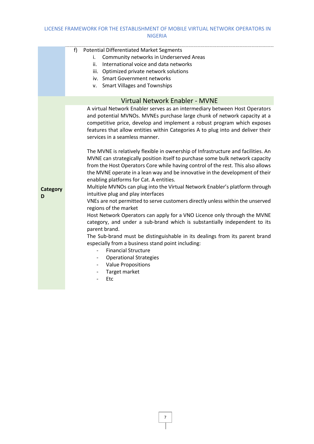|                      | f)<br><b>Potential Differentiated Market Segments</b><br>Community networks in Underserved Areas<br>i.<br>ii.<br>International voice and data networks<br>iii. Optimized private network solutions<br>iv. Smart Government networks<br>v. Smart Villages and Townships                                                                                                           |
|----------------------|----------------------------------------------------------------------------------------------------------------------------------------------------------------------------------------------------------------------------------------------------------------------------------------------------------------------------------------------------------------------------------|
|                      | <b>Virtual Network Enabler - MVNE</b>                                                                                                                                                                                                                                                                                                                                            |
|                      | A virtual Network Enabler serves as an intermediary between Host Operators<br>and potential MVNOs. MVNEs purchase large chunk of network capacity at a<br>competitive price, develop and implement a robust program which exposes<br>features that allow entities within Categories A to plug into and deliver their<br>services in a seamless manner.                           |
|                      | The MVNE is relatively flexible in ownership of Infrastructure and facilities. An<br>MVNE can strategically position itself to purchase some bulk network capacity<br>from the Host Operators Core while having control of the rest. This also allows<br>the MVNE operate in a lean way and be innovative in the development of their<br>enabling platforms for Cat. A entities. |
| <b>Category</b><br>D | Multiple MVNOs can plug into the Virtual Network Enabler's platform through<br>intuitive plug and play interfaces<br>VNEs are not permitted to serve customers directly unless within the unserved<br>regions of the market                                                                                                                                                      |
|                      | Host Network Operators can apply for a VNO Licence only through the MVNE<br>category, and under a sub-brand which is substantially independent to its<br>parent brand.                                                                                                                                                                                                           |
|                      | The Sub-brand must be distinguishable in its dealings from its parent brand<br>especially from a business stand point including:<br><b>Financial Structure</b>                                                                                                                                                                                                                   |
|                      | <b>Operational Strategies</b><br><b>Value Propositions</b><br>$\overline{\phantom{0}}$                                                                                                                                                                                                                                                                                           |
|                      | Target market<br>Etc                                                                                                                                                                                                                                                                                                                                                             |
|                      |                                                                                                                                                                                                                                                                                                                                                                                  |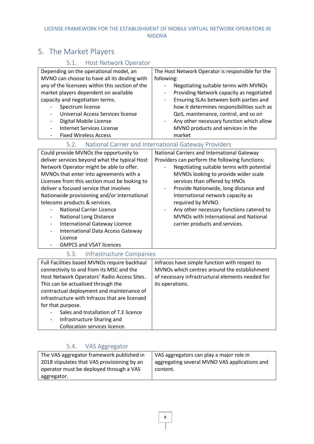# <span id="page-10-0"></span>5. The Market Players

## 5.1. Host Network Operator

<span id="page-10-2"></span><span id="page-10-1"></span>

| Depending on the operational model, an<br>MVNO can choose to have all its dealing with<br>any of the licensees within this section of the<br>market players dependent on available<br>capacity and negotiation terms.<br>Spectrum license<br><b>Universal Access Services license</b><br>Digital Mobile License<br><b>Internet Services License</b><br><b>Fixed Wireless Access</b>                                                                                                                                                                       | The Host Network Operator is responsible for the<br>following:<br>Negotiating suitable terms with MVNOs<br>$\overline{\phantom{a}}$<br>Providing Network capacity as negotiated<br>Ensuring SLAs between both parties and<br>$\overline{\phantom{a}}$<br>how it determines responsibilities such as<br>QoS, maintenance, control, and so on<br>Any other necessary function which allow<br>$\qquad \qquad \blacksquare$<br>MVNO products and services in the<br>market |
|-----------------------------------------------------------------------------------------------------------------------------------------------------------------------------------------------------------------------------------------------------------------------------------------------------------------------------------------------------------------------------------------------------------------------------------------------------------------------------------------------------------------------------------------------------------|------------------------------------------------------------------------------------------------------------------------------------------------------------------------------------------------------------------------------------------------------------------------------------------------------------------------------------------------------------------------------------------------------------------------------------------------------------------------|
| 5.2.                                                                                                                                                                                                                                                                                                                                                                                                                                                                                                                                                      | National Carrier and International Gateway Providers                                                                                                                                                                                                                                                                                                                                                                                                                   |
| Could provide MVNOs the opportunity to<br>deliver services beyond what the typical Host<br>Network Operator might be able to offer.<br>MVNOs that enter into agreements with a<br>Licensee from this section must be looking to<br>deliver a focused service that involves<br>Nationwide provisioning and/or international<br>telecoms products & services.<br><b>National Carrier Licence</b><br><b>National Long Distance</b><br><b>International Gateway Licence</b><br>International Data Access Gateway<br>Licence<br><b>GMPCS and VSAT licences</b> | National Carriers and International Gateway<br>Providers can perform the following functions:<br>Negotiating suitable terms with potential<br>MVNOs looking to provide wider scale<br>services than offered by HNOs<br>Provide Nationwide, long distance and<br>International network capacity as<br>required by MVNO.<br>Any other necessary functions catered to<br>MVNOs with International and National<br>carrier products and services.                          |
| 5.3.<br>Infrastructure Companies                                                                                                                                                                                                                                                                                                                                                                                                                                                                                                                          |                                                                                                                                                                                                                                                                                                                                                                                                                                                                        |
| Full Facilities based MVNOs require backhaul<br>connectivity to and from its MSC and the<br>Host Network Operators' Radio Access Sites.<br>This can be actualised through the<br>contractual deployment and maintenance of<br>infrastructure with Infracos that are licensed<br>for that purpose.<br>Sales and Installation of T.E licence<br>Infrastructure Sharing and<br>Collocation services licence.                                                                                                                                                 | Infracos have simple function with respect to<br>MVNOs which centres around the establishment<br>of necessary infrastructural elements needed for<br>its operations.                                                                                                                                                                                                                                                                                                   |

## <span id="page-10-3"></span>5.4. VAS Aggregator

<span id="page-10-4"></span>

| The VAS aggregator framework published in<br>2018 stipulates that VAS provisioning by an | VAS aggregators can play a major role in<br>aggregating several MVNO VAS applications and |
|------------------------------------------------------------------------------------------|-------------------------------------------------------------------------------------------|
| operator must be deployed through a VAS                                                  | content.                                                                                  |
| aggregator.                                                                              |                                                                                           |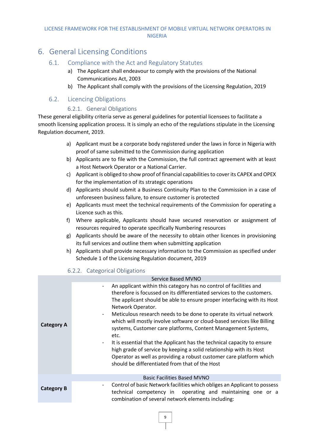## <span id="page-11-1"></span><span id="page-11-0"></span>6. General Licensing Conditions

#### 6.1. Compliance with the Act and Regulatory Statutes

- a) The Applicant shall endeavour to comply with the provisions of the National Communications Act, 2003
- b) The Applicant shall comply with the provisions of the Licensing Regulation, 2019

#### <span id="page-11-2"></span>6.2. Licencing Obligations

#### 6.2.1. General Obligations

<span id="page-11-3"></span>These general eligibility criteria serve as general guidelines for potential licensees to facilitate a smooth licensing application process. It is simply an echo of the regulations stipulate in the Licensing Regulation document, 2019.

- a) Applicant must be a corporate body registered under the laws in force in Nigeria with proof of same submitted to the Commission during application
- b) Applicants are to file with the Commission, the full contract agreement with at least a Host Network Operator or a National Carrier.
- c) Applicant is obliged to show proof of financial capabilitiesto cover its CAPEX and OPEX for the implementation of its strategic operations
- d) Applicants should submit a Business Continuity Plan to the Commission in a case of unforeseen business failure, to ensure customer is protected
- e) Applicants must meet the technical requirements of the Commission for operating a Licence such as this.
- f) Where applicable, Applicants should have secured reservation or assignment of resources required to operate specifically Numbering resources
- g) Applicants should be aware of the necessity to obtain other licences in provisioning its full services and outline them when submitting application
- h) Applicants shall provide necessary information to the Commission as specified under Schedule 1 of the Licensing Regulation document, 2019

#### 6.2.2. Categorical Obligations

<span id="page-11-4"></span>

|                   | Service Based MVNO                                                                                                                                                                                                                                                                                                                                                                                                                                                                                                                                                                                                                                                                                                                                                                                         |
|-------------------|------------------------------------------------------------------------------------------------------------------------------------------------------------------------------------------------------------------------------------------------------------------------------------------------------------------------------------------------------------------------------------------------------------------------------------------------------------------------------------------------------------------------------------------------------------------------------------------------------------------------------------------------------------------------------------------------------------------------------------------------------------------------------------------------------------|
| <b>Category A</b> | An applicant within this category has no control of facilities and<br>$\overline{\phantom{a}}$<br>therefore is focussed on its differentiated services to the customers.<br>The applicant should be able to ensure proper interfacing with its Host<br>Network Operator.<br>Meticulous research needs to be done to operate its virtual network<br>$\overline{\phantom{0}}$<br>which will mostly involve software or cloud-based services like Billing<br>systems, Customer care platforms, Content Management Systems,<br>etc.<br>It is essential that the Applicant has the technical capacity to ensure<br>high grade of service by keeping a solid relationship with its Host<br>Operator as well as providing a robust customer care platform which<br>should be differentiated from that of the Host |
|                   | <b>Basic Facilities Based MVNO</b>                                                                                                                                                                                                                                                                                                                                                                                                                                                                                                                                                                                                                                                                                                                                                                         |
| <b>Category B</b> | Control of basic Network facilities which obliges an Applicant to possess<br>technical competency in operating and maintaining one or a<br>combination of several network elements including:                                                                                                                                                                                                                                                                                                                                                                                                                                                                                                                                                                                                              |
|                   |                                                                                                                                                                                                                                                                                                                                                                                                                                                                                                                                                                                                                                                                                                                                                                                                            |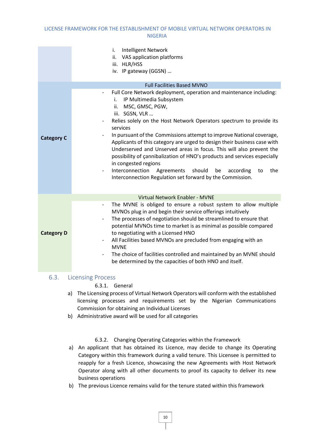|                   | <b>Intelligent Network</b><br>i.<br>ii. VAS application platforms<br>iii. HLR/HSS<br>iv. IP gateway (GGSN)                                                                                                                                                                                                                                              |
|-------------------|---------------------------------------------------------------------------------------------------------------------------------------------------------------------------------------------------------------------------------------------------------------------------------------------------------------------------------------------------------|
|                   | <b>Full Facilities Based MVNO</b><br>$\overline{\phantom{a}}$                                                                                                                                                                                                                                                                                           |
|                   | Full Core Network deployment, operation and maintenance including:<br>IP Multimedia Subsystem<br>i.<br>MSC, GMSC, PGW,<br>ii.<br>iii. SGSN, VLR                                                                                                                                                                                                         |
|                   | Relies solely on the Host Network Operators spectrum to provide its<br>services                                                                                                                                                                                                                                                                         |
| <b>Category C</b> | In pursuant of the Commissions attempt to improve National coverage,<br>$\overline{\phantom{a}}$<br>Applicants of this category are urged to design their business case with<br>Underserved and Unserved areas in focus. This will also prevent the<br>possibility of cannibalization of HNO's products and services especially<br>in congested regions |
|                   | Interconnection<br>Agreements<br>should<br>be<br>the<br>according<br>to<br>Interconnection Regulation set forward by the Commission.                                                                                                                                                                                                                    |
|                   | Virtual Network Enabler - MVNE                                                                                                                                                                                                                                                                                                                          |
|                   | The MVNE is obliged to ensure a robust system to allow multiple<br>$\overline{\phantom{a}}$<br>MVNOs plug in and begin their service offerings intuitively<br>The processes of negotiation should be streamlined to ensure that<br>potential MVNOs time to market is as minimal as possible compared                                                    |
| <b>Category D</b> | to negotiating with a Licensed HNO<br>All Facilities based MVNOs are precluded from engaging with an<br><b>MVNE</b>                                                                                                                                                                                                                                     |
|                   | The choice of facilities controlled and maintained by an MVNE should<br>be determined by the capacities of both HNO and itself.                                                                                                                                                                                                                         |

#### <span id="page-12-0"></span>6.3. Licensing Process

#### 6.3.1. General

- a) The Licensing process of Virtual Network Operators will conform with the established licensing processes and requirements set by the Nigerian Communications Commission for obtaining an Individual Licenses
- b) Administrative award will be used for all categories

#### 6.3.2. Changing Operating Categories within the Framework

- a) An applicant that has obtained its Licence, may decide to change its Operating Category within this framework during a valid tenure. This Licensee is permitted to reapply for a fresh Licence, showcasing the new Agreements with Host Network Operator along with all other documents to proof its capacity to deliver its new business operations
- b) The previous Licence remains valid for the tenure stated within this framework

10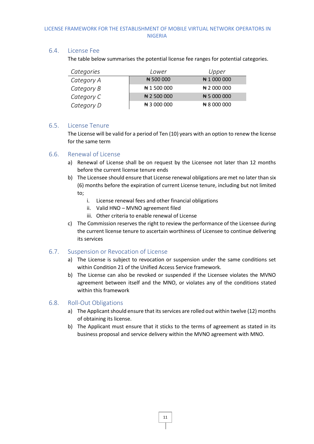#### <span id="page-13-0"></span>6.4. License Fee

The table below summarises the potential license fee ranges for potential categories.

| Categories | Lower                | Upper                |
|------------|----------------------|----------------------|
| Category A | ₦ 500 000            | ₦ 1 000 000          |
| Category B | ₦ 1 500 000          | $\bigstar$ 2 000 000 |
| Category C | $\bigstar$ 2 500 000 | NH 5 000 000         |
| Category D | ₦ 3 000 000          | ₦ 8 000 000          |

#### <span id="page-13-1"></span>6.5. License Tenure

The License will be valid for a period of Ten (10) years with an option to renew the license for the same term

#### <span id="page-13-2"></span>6.6. Renewal of License

- a) Renewal of License shall be on request by the Licensee not later than 12 months before the current license tenure ends
- b) The Licensee should ensure that License renewal obligations are met no later than six (6) months before the expiration of current License tenure, including but not limited to;
	- i. License renewal fees and other financial obligations
	- ii. Valid HNO MVNO agreement filed
	- iii. Other criteria to enable renewal of License
- c) The Commission reserves the right to review the performance of the Licensee during the current license tenure to ascertain worthiness of Licensee to continue delivering its services

#### <span id="page-13-3"></span>6.7. Suspension or Revocation of License

- a) The License is subject to revocation or suspension under the same conditions set within Condition 21 of the Unified Access Service framework.
- b) The License can also be revoked or suspended if the Licensee violates the MVNO agreement between itself and the MNO, or violates any of the conditions stated within this framework

#### <span id="page-13-4"></span>6.8. Roll-Out Obligations

- a) The Applicant should ensure that its services are rolled out within twelve (12) months of obtaining its license.
- b) The Applicant must ensure that it sticks to the terms of agreement as stated in its business proposal and service delivery within the MVNO agreement with MNO.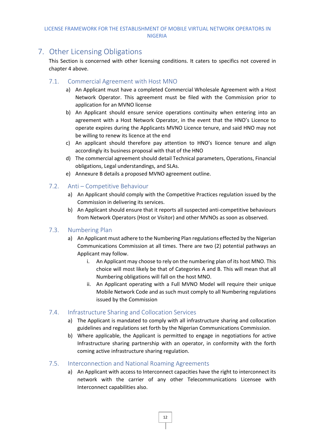## <span id="page-14-0"></span>7. Other Licensing Obligations

This Section is concerned with other licensing conditions. It caters to specifics not covered in chapter 4 above.

#### <span id="page-14-1"></span>7.1. Commercial Agreement with Host MNO

- a) An Applicant must have a completed Commercial Wholesale Agreement with a Host Network Operator. This agreement must be filed with the Commission prior to application for an MVNO license
- b) An Applicant should ensure service operations continuity when entering into an agreement with a Host Network Operator, in the event that the HNO's Licence to operate expires during the Applicants MVNO Licence tenure, and said HNO may not be willing to renew its licence at the end
- c) An applicant should therefore pay attention to HNO's licence tenure and align accordingly its business proposal with that of the HNO
- d) The commercial agreement should detail Technical parameters, Operations, Financial obligations, Legal understandings, and SLAs.
- e) Annexure B details a proposed MVNO agreement outline.

#### <span id="page-14-2"></span>7.2. Anti – Competitive Behaviour

- a) An Applicant should comply with the Competitive Practices regulation issued by the Commission in delivering its services.
- b) An Applicant should ensure that it reports all suspected anti-competitive behaviours from Network Operators (Host or Visitor) and other MVNOs as soon as observed.

#### <span id="page-14-3"></span>7.3. Numbering Plan

- a) An Applicant must adhere to the Numbering Plan regulations effected by the Nigerian Communications Commission at all times. There are two (2) potential pathways an Applicant may follow.
	- i. An Applicant may choose to rely on the numbering plan of its host MNO. This choice will most likely be that of Categories A and B. This will mean that all Numbering obligations will fall on the host MNO.
	- ii. An Applicant operating with a Full MVNO Model will require their unique Mobile Network Code and as such must comply to all Numbering regulations issued by the Commission

#### <span id="page-14-4"></span>7.4. Infrastructure Sharing and Collocation Services

- a) The Applicant is mandated to comply with all infrastructure sharing and collocation guidelines and regulations set forth by the Nigerian Communications Commission.
- b) Where applicable, the Applicant is permitted to engage in negotiations for active Infrastructure sharing partnership with an operator, in conformity with the forth coming active infrastructure sharing regulation.

#### <span id="page-14-5"></span>7.5. Interconnection and National Roaming Agreements

a) An Applicant with access to Interconnect capacities have the right to interconnect its network with the carrier of any other Telecommunications Licensee with Interconnect capabilities also.

12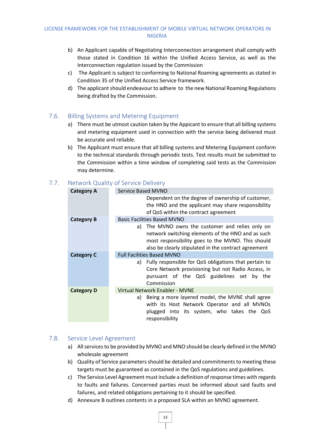- b) An Applicant capable of Negotiating Interconnection arrangement shall comply with those stated in Condition 16 within the Unified Access Service, as well as the Interconnection regulation issued by the Commission
- c) The Applicant is subject to conforming to National Roaming agreements as stated in Condition 35 of the Unified Access Service framework.
- d) The applicant should endeavour to adhere to the new National Roaming Regulations being drafted by the Commission.

#### <span id="page-15-0"></span>7.6. Billing Systems and Metering Equipment

- a) There must be utmost caution taken by the Appicant to ensure that all billing systems and metering equipment used in connection with the service being delivered must be accurate and reliable.
- b) The Applicant must ensure that all billing systems and Metering Equipment conform to the technical standards through periodic tests. Test results must be submitted to the Commission within a time window of completing said tests as the Commission may determine.

#### <span id="page-15-1"></span>7.7. Network Quality of Service Delivery

| <b>Category A</b> | Service Based MVNO                                                                                                                                                                                                 |
|-------------------|--------------------------------------------------------------------------------------------------------------------------------------------------------------------------------------------------------------------|
|                   | Dependent on the degree of ownership of customer,<br>the HNO and the applicant may share responsibility<br>of QoS within the contract agreement                                                                    |
| <b>Category B</b> | <b>Basic Facilities Based MVNO</b>                                                                                                                                                                                 |
|                   | a) The MVNO owns the customer and relies only on<br>network switching elements of the HNO and as such<br>most responsibility goes to the MVNO. This should<br>also be clearly stipulated in the contract agreement |
| <b>Category C</b> | <b>Full Facilities Based MVNO</b>                                                                                                                                                                                  |
|                   | a) Fully responsible for QoS obligations that pertain to<br>Core Network provisioning but not Radio Access, in<br>pursuant of the QoS guidelines set by the<br>Commission                                          |
| <b>Category D</b> | Virtual Network Enabler - MVNE                                                                                                                                                                                     |
|                   | Being a more layered model, the MVNE shall agree<br>a)<br>with its Host Network Operator and all MVNOs<br>plugged into its system, who takes the QoS<br>responsibility                                             |

#### <span id="page-15-2"></span>7.8. Service Level Agreement

- a) All services to be provided by MVNO and MNO should be clearly defined in the MVNO wholesale agreement
- b) Quality of Service parameters should be detailed and commitments to meeting these targets must be guaranteed as contained in the QoS regulations and guidelines.
- c) The Service Level Agreement must include a definition of response times with regards to faults and failures. Concerned parties must be informed about said faults and failures, and related obligations pertaining to it should be specified.
- d) Annexure B outlines contents in a proposed SLA within an MVNO agreement.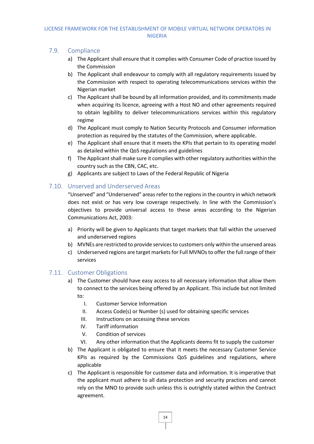#### <span id="page-16-0"></span>7.9. Compliance

- a) The Applicant shall ensure that it complies with Consumer Code of practice issued by the Commission
- b) The Applicant shall endeavour to comply with all regulatory requirements issued by the Commission with respect to operating telecommunications services within the Nigerian market
- c) The Applicant shall be bound by all information provided, and its commitments made when acquiring its licence, agreeing with a Host NO and other agreements required to obtain legibility to deliver telecommunications services within this regulatory regime
- d) The Applicant must comply to Nation Security Protocols and Consumer information protection as required by the statutes of the Commission, where applicable.
- e) The Applicant shall ensure that it meets the KPIs that pertain to its operating model as detailed within the QoS regulations and guidelines
- f) The Applicant shall make sure it complies with other regulatory authorities within the country such as the CBN, CAC, etc.
- g) Applicants are subject to Laws of the Federal Republic of Nigeria

#### <span id="page-16-1"></span>7.10. Unserved and Underserved Areas

"Unserved" and "Underserved" areasrefer to the regions in the country in which network does not exist or has very low coverage respectively. In line with the Commission's objectives to provide universal access to these areas according to the Nigerian Communications Act, 2003:

- a) Priority will be given to Applicants that target markets that fall within the unserved and underserved regions
- b) MVNEs are restricted to provide services to customers only within the unserved areas
- c) Underserved regions are target markets for Full MVNOs to offer the full range of their services

#### <span id="page-16-2"></span>7.11. Customer Obligations

- a) The Customer should have easy access to all necessary information that allow them to connect to the services being offered by an Applicant. This include but not limited to:
	- I. Customer Service Information
	- II. Access Code(s) or Number (s) used for obtaining specific services
	- III. Instructions on accessing these services
	- IV. Tariff information
	- V. Condition of services
	- VI. Any other information that the Applicants deems fit to supply the customer
- b) The Applicant is obligated to ensure that it meets the necessary Customer Service KPIs as required by the Commissions QoS guidelines and regulations, where applicable
- c) The Applicant is responsible for customer data and information. It is imperative that the applicant must adhere to all data protection and security practices and cannot rely on the MNO to provide such unless this is outrightly stated within the Contract agreement.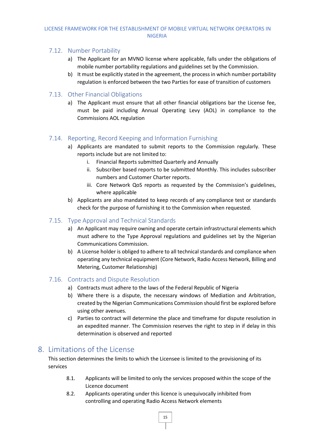#### <span id="page-17-0"></span>7.12. Number Portability

- a) The Applicant for an MVNO license where applicable, falls under the obligations of mobile number portability regulations and guidelines set by the Commission.
- b) It must be explicitly stated in the agreement, the process in which number portability regulation is enforced between the two Parties for ease of transition of customers

#### <span id="page-17-1"></span>7.13. Other Financial Obligations

a) The Applicant must ensure that all other financial obligations bar the License fee, must be paid including Annual Operating Levy (AOL) in compliance to the Commissions AOL regulation

#### <span id="page-17-2"></span>7.14. Reporting, Record Keeping and Information Furnishing

- a) Applicants are mandated to submit reports to the Commission regularly. These reports include but are not limited to:
	- i. Financial Reports submitted Quarterly and Annually
	- ii. Subscriber based reports to be submitted Monthly. This includes subscriber numbers and Customer Charter reports.
	- iii. Core Network QoS reports as requested by the Commission's guidelines, where applicable
- b) Applicants are also mandated to keep records of any compliance test or standards check for the purpose of furnishing it to the Commission when requested.

#### <span id="page-17-3"></span>7.15. Type Approval and Technical Standards

- a) An Applicant may require owning and operate certain infrastructural elements which must adhere to the Type Approval regulations and guidelines set by the Nigerian Communications Commission.
- b) A License holder is obliged to adhere to all technical standards and compliance when operating any technical equipment (Core Network, Radio Access Network, Billing and Metering, Customer Relationship)

#### <span id="page-17-4"></span>7.16. Contracts and Dispute Resolution

- a) Contracts must adhere to the laws of the Federal Republic of Nigeria
- b) Where there is a dispute, the necessary windows of Mediation and Arbitration, created by the Nigerian Communications Commission should first be explored before using other avenues.
- c) Parties to contract will determine the place and timeframe for dispute resolution in an expedited manner. The Commission reserves the right to step in if delay in this determination is observed and reported

## <span id="page-17-5"></span>8. Limitations of the License

This section determines the limits to which the Licensee is limited to the provisioning of its services

- 8.1. Applicants will be limited to only the services proposed within the scope of the Licence document
- 8.2. Applicants operating under this licence is unequivocally inhibited from controlling and operating Radio Access Network elements

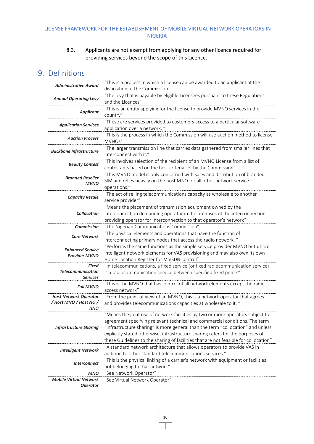#### 8.3. Applicants are not exempt from applying for any other licence required for providing services beyond the scope of this Licence.

## <span id="page-18-0"></span>9. Definitions

| <b>Administrative Award</b>       | "This is a process in which a license can be awarded to an applicant at the                        |
|-----------------------------------|----------------------------------------------------------------------------------------------------|
|                                   | disposition of the Commission."                                                                    |
| <b>Annual Operating Levy</b>      | "The levy that is payable by eligible Licensees pursuant to these Regulations<br>and the Licences" |
|                                   |                                                                                                    |
| <b>Applicant</b>                  | "This is an entity applying for the license to provide MVNO services in the                        |
|                                   | country"                                                                                           |
| <b>Application Services</b>       | "These are services provided to customers access to a particular software                          |
|                                   | application over a network."                                                                       |
| <b>Auction Process</b>            | "This is the process in which the Commission will use auction method to license<br>MVNOs"          |
|                                   | "The larger transmission line that carries data gathered from smaller lines that                   |
| <b>Backbone Infrastructure</b>    | interconnect with it."                                                                             |
|                                   | "This involves selection of the recipient of an MVNO License from a list of                        |
| <b>Beauty Contest</b>             | contestants based on the best criteria set by the Commission"                                      |
|                                   | "This MVNO model is only concerned with sales and distribution of branded                          |
| <b>Branded Reseller</b>           | SIM and relies heavily on the host MNO for all other network service                               |
| <b>MVNO</b>                       |                                                                                                    |
|                                   | operations."<br>"The act of selling telecommunications capacity as wholesale to another            |
| <b>Capacity Resale</b>            |                                                                                                    |
|                                   | service provider"                                                                                  |
| <b>Collocation</b>                | "Means the placement of transmission equipment owned by the                                        |
|                                   | interconnection demanding operator in the premises of the interconnection                          |
|                                   | providing operator for interconnection to that operator's network"                                 |
| <b>Commission</b>                 | "The Nigerian Communications Commission"                                                           |
| <b>Core Network</b>               | "The physical elements and operations that have the function of                                    |
|                                   | interconnecting primary nodes that access the radio network."                                      |
| <b>Enhanced Service</b>           | "Performs the same functions as the simple service provider MVNO but utilize                       |
| <b>Provider MVNO</b>              | intelligent network elements for VAS provisioning and may also own its own                         |
|                                   | Home Location Register for MSISDN control"                                                         |
| Fixed<br><b>Telecommunication</b> | "In telecommunications, a fixed service (or fixed radiocommunication service)                      |
| <b>Services</b>                   | is a radiocommunication service between specified fixed points"                                    |
|                                   | "This is the MVNO that has control of all network elements except the radio                        |
| <b>Full MVNO</b>                  | access network"                                                                                    |
| <b>Host Network Operator</b>      | "From the point of view of an MVNO, this is a network operator that agrees                         |
| / Host MNO / Host NO /            | and provides telecommunications capacities at wholesale to it. "                                   |
| <b>HNO</b>                        |                                                                                                    |
|                                   | "Means the joint use of network facilities by two or more operators subject to                     |
|                                   | agreement specifying relevant technical and commercial conditions. The term                        |
| <b>Infrastructure Sharing</b>     | "infrastructure sharing" is more general than the term "collocation" and unless                    |
|                                   | explicitly stated otherwise, infrastructure sharing refers for the purposes of                     |
|                                   | these Guidelines to the sharing of facilities that are not feasible for collocation"               |
| <b>Intelligent Network</b>        | "A standard network architecture that allows operators to provide VAS in                           |
|                                   | addition to other standard telecommunications services."                                           |
| <i>Interconnect</i>               | "This is the physical linking of a carrier's network with equipment or facilities                  |
|                                   | not belonging to that network"                                                                     |
| MNO                               | "See Network Operator"                                                                             |
| <b>Mobile Virtual Network</b>     | "See Virtual Network Operator"                                                                     |
| <b>Operator</b>                   |                                                                                                    |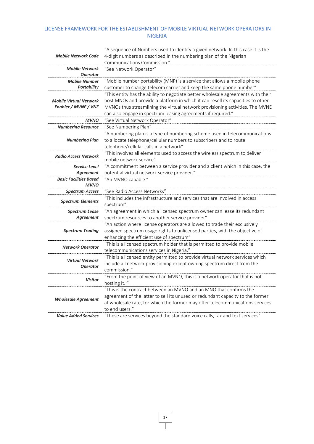|                                                       | "A sequence of Numbers used to identify a given network. In this case it is the  |
|-------------------------------------------------------|----------------------------------------------------------------------------------|
| <b>Mobile Network Code</b>                            | 4-digit numbers as described in the numbering plan of the Nigerian               |
|                                                       | Communications Commission."                                                      |
| <b>Mobile Network</b>                                 | "See Network Operator"                                                           |
| <b>Operator</b>                                       |                                                                                  |
| <b>Mobile Number</b>                                  | "Mobile number portability (MNP) is a service that allows a mobile phone         |
| <b>Portability</b>                                    | customer to change telecom carrier and keep the same phone number"               |
| <b>Mobile Virtual Network</b><br>Enabler / MVNE / VNE | "This entity has the ability to negotiate better wholesale agreements with their |
|                                                       | host MNOs and provide a platform in which it can resell its capacities to other  |
|                                                       | MVNOs thus streamlining the virtual network provisioning activities. The MVNE    |
|                                                       | can also engage in spectrum leasing agreements if required."                     |
| <b>MVNO</b>                                           | "See Virtual Network Operator"                                                   |
| <b>Numbering Resource</b>                             | "See Numbering Plan"                                                             |
| <b>Numbering Plan</b>                                 | "A numbering plan is a type of numbering scheme used in telecommunications       |
|                                                       | to allocate telephone/cellular numbers to subscribers and to route               |
|                                                       | telephone/cellular calls in a network"                                           |
| <b>Radio Access Network</b>                           | "This involves all elements used to access the wireless spectrum to deliver      |
|                                                       | mobile network service"                                                          |
| <b>Service Level</b>                                  | "A commitment between a service provider and a client which in this case, the    |
| Agreement                                             | potential virtual network service provider."                                     |
| <b>Basic Facilities Based</b>                         | "An MVNO capable"                                                                |
| <b>MVNO</b>                                           |                                                                                  |
| <b>Spectrum Access</b>                                | "See Radio Access Networks"                                                      |
| <b>Spectrum Elements</b>                              | "This includes the infrastructure and services that are involved in access       |
|                                                       | spectrum"                                                                        |
| <b>Spectrum Lease</b>                                 | "An agreement in which a licensed spectrum owner can lease its redundant         |
| <b>Agreement</b>                                      | spectrum resources to another service provider"                                  |
| <b>Spectrum Trading</b>                               | "An action where license operators are allowed to trade their exclusively        |
|                                                       | assigned spectrum usage rights to unlicensed parties, with the objective of      |
|                                                       | enhancing the efficient use of spectrum"                                         |
| <b>Network Operator</b>                               | "This is a licensed spectrum holder that is permitted to provide mobile          |
|                                                       | telecommunications services in Nigeria."                                         |
| <b>Virtual Network</b><br><b>Operator</b>             | "This is a licensed entity permitted to provide virtual network services which   |
|                                                       | include all network provisioning except owning spectrum direct from the          |
|                                                       | commission."                                                                     |
| <b>Visitor</b>                                        | "From the point of view of an MVNO, this is a network operator that is not       |
|                                                       | hosting it."                                                                     |
| <b>Wholesale Agreement</b>                            | "This is the contract between an MVNO and an MNO that confirms the               |
|                                                       | agreement of the latter to sell its unused or redundant capacity to the former   |
|                                                       | at wholesale rate, for which the former may offer telecommunications services    |
|                                                       | to end users."                                                                   |
| <b>Value Added Services</b>                           | "These are services beyond the standard voice calls, fax and text services"      |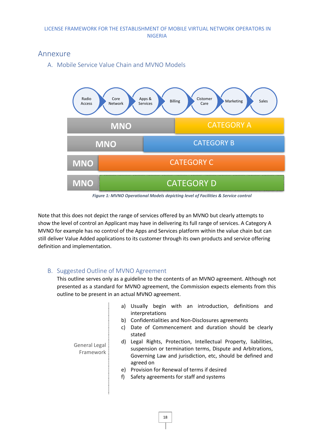## <span id="page-20-1"></span><span id="page-20-0"></span>Annexure

A. Mobile Service Value Chain and MVNO Models



*Figure 1: MVNO Operational Models depicting level of Facilities & Service control*

Note that this does not depict the range of services offered by an MVNO but clearly attempts to show the level of control an Applicant may have in delivering its full range of services. A Category A MVNO for example has no control of the Apps and Services platform within the value chain but can still deliver Value Added applications to its customer through its own products and service offering definition and implementation.

#### <span id="page-20-2"></span>B. Suggested Outline of MVNO Agreement

This outline serves only as a guideline to the contents of an MVNO agreement. Although not presented as a standard for MVNO agreement, the Commission expects elements from this outline to be present in an actual MVNO agreement.

- a) Usually begin with an introduction, definitions and interpretations
- b) Confidentialities and Non-Disclosures agreements
- c) Date of Commencement and duration should be clearly stated

d) Legal Rights, Protection, Intellectual Property, liabilities, suspension or termination terms, Dispute and Arbitrations, Governing Law and jurisdiction, etc, should be defined and agreed on

- e) Provision for Renewal of terms if desired
- f) Safety agreements for staff and systems

18

General Legal Framework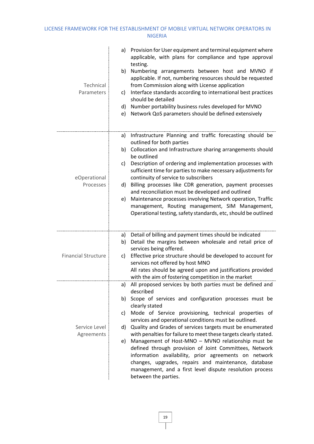| Technical<br>Parameters     | a) Provision for User equipment and terminal equipment where<br>applicable, with plans for compliance and type approval<br>testing.<br>b) Numbering arrangements between host and MVNO if<br>applicable. If not, numbering resources should be requested<br>from Commission along with License application<br>Interface standards according to international best practices<br>C)<br>should be detailed<br>d) Number portability business rules developed for MVNO<br>Network QoS parameters should be defined extensively<br>e)                                                                                                                                                                                                            |
|-----------------------------|---------------------------------------------------------------------------------------------------------------------------------------------------------------------------------------------------------------------------------------------------------------------------------------------------------------------------------------------------------------------------------------------------------------------------------------------------------------------------------------------------------------------------------------------------------------------------------------------------------------------------------------------------------------------------------------------------------------------------------------------|
| eOperational<br>Processes   | Infrastructure Planning and traffic forecasting should be<br>a)<br>outlined for both parties<br>b) Collocation and Infrastructure sharing arrangements should<br>be outlined<br>Description of ordering and implementation processes with<br>c)<br>sufficient time for parties to make necessary adjustments for<br>continuity of service to subscribers<br>d) Billing processes like CDR generation, payment processes<br>and reconciliation must be developed and outlined<br>e) Maintenance processes involving Network operation, Traffic<br>management, Routing management, SIM Management,<br>Operational testing, safety standards, etc, should be outlined                                                                          |
| <b>Financial Structure</b>  | a) Detail of billing and payment times should be indicated<br>Detail the margins between wholesale and retail price of<br>b)<br>services being offered.<br>Effective price structure should be developed to account for<br>C)<br>services not offered by host MNO<br>All rates should be agreed upon and justifications provided<br>with the aim of fostering competition in the market                                                                                                                                                                                                                                                                                                                                                     |
| Service Level<br>Agreements | a) All proposed services by both parties must be defined and<br>described<br>b) Scope of services and configuration processes must be<br>clearly stated<br>Mode of Service provisioning, technical properties of<br>C)<br>services and operational conditions must be outlined.<br>d) Quality and Grades of services targets must be enumerated<br>with penalties for failure to meet these targets clearly stated.<br>e) Management of Host-MNO - MVNO relationship must be<br>defined through provision of Joint Committees, Network<br>information availability, prior agreements on network<br>changes, upgrades, repairs and maintenance, database<br>management, and a first level dispute resolution process<br>between the parties. |